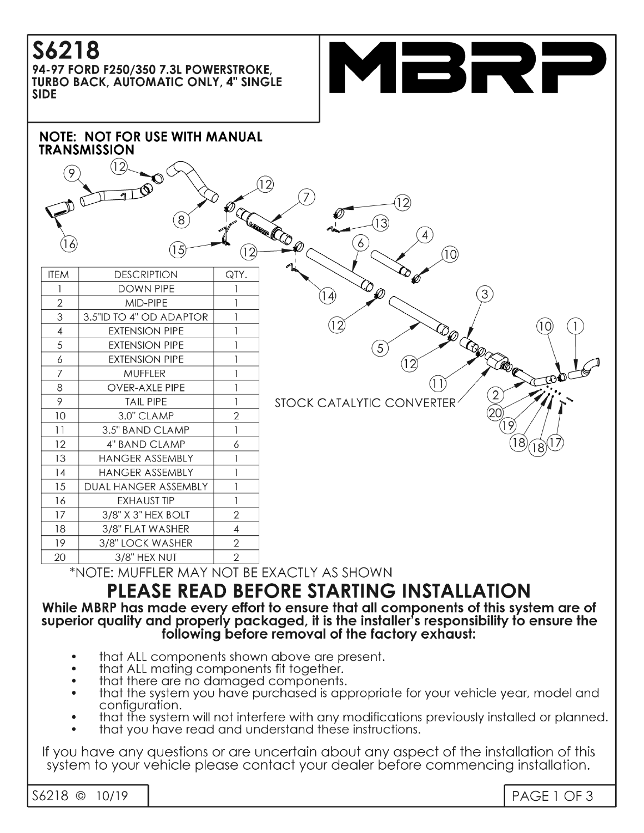# **S6218**

94-97 FORD F250/350 7.3L POWERSTROKE, **TURBO BACK, AUTOMATIC ONLY, 4" SINGLE SIDE** 





\*NOTE: MUFFLER MAY NOT BE EXACTLY AS SHOWN

# **PLEASE READ BEFORE STARTING INSTALLATION**

While MBRP has made every effort to ensure that all components of this system are of superior quality and properly packaged, it is the installer's responsibility to ensure the following before removal of the factory exhaust:

- that ALL components shown above are present.
- that ALL mating components fit together.
- that there are no damaged components.
- that the system you have purchased is appropriate for your vehicle year, model and configuration.
- that the system will not interfere with any modifications previously installed or planned.
- that you have read and understand these instructions.

If you have any questions or are uncertain about any aspect of the installation of this system to your vehicle please contact your dealer before commencing installation.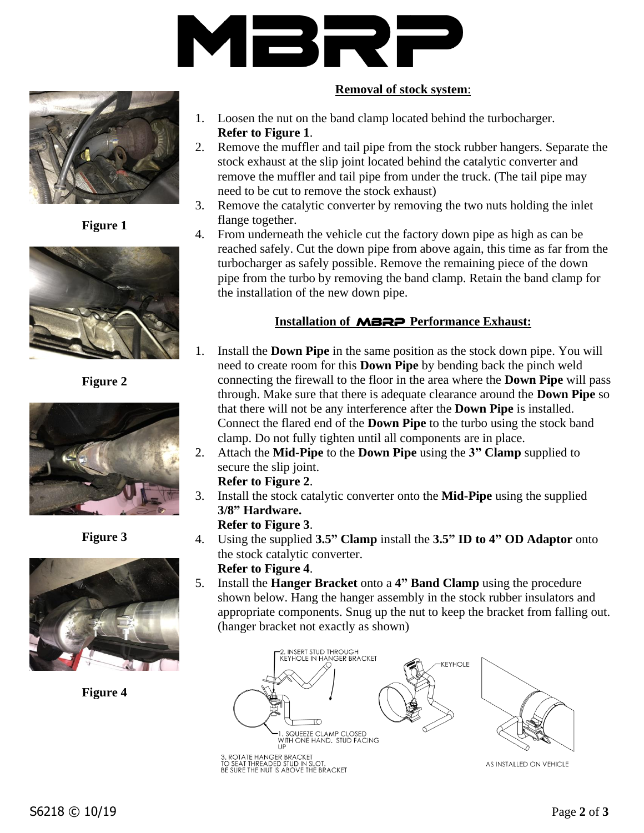



**Figure 1**



**Figure 2**



**Figure 3**



**Figure 4**

## **Removal of stock system**:

- 1. Loosen the nut on the band clamp located behind the turbocharger. **Refer to Figure 1**.
- 2. Remove the muffler and tail pipe from the stock rubber hangers. Separate the stock exhaust at the slip joint located behind the catalytic converter and remove the muffler and tail pipe from under the truck. (The tail pipe may need to be cut to remove the stock exhaust)
- 3. Remove the catalytic converter by removing the two nuts holding the inlet flange together.
- 4. From underneath the vehicle cut the factory down pipe as high as can be reached safely. Cut the down pipe from above again, this time as far from the turbocharger as safely possible. Remove the remaining piece of the down pipe from the turbo by removing the band clamp. Retain the band clamp for the installation of the new down pipe.

# **Installation of** MBRP **Performance Exhaust:**

- 1. Install the **Down Pipe** in the same position as the stock down pipe. You will need to create room for this **Down Pipe** by bending back the pinch weld connecting the firewall to the floor in the area where the **Down Pipe** will pass through. Make sure that there is adequate clearance around the **Down Pipe** so that there will not be any interference after the **Down Pipe** is installed. Connect the flared end of the **Down Pipe** to the turbo using the stock band clamp. Do not fully tighten until all components are in place.
- 2. Attach the **Mid-Pipe** to the **Down Pipe** using the **3" Clamp** supplied to secure the slip joint.

#### **Refer to Figure 2**.

3. Install the stock catalytic converter onto the **Mid-Pipe** using the supplied **3/8" Hardware.**

#### **Refer to Figure 3**.

4. Using the supplied **3.5" Clamp** install the **3.5" ID to 4" OD Adaptor** onto the stock catalytic converter.

# **Refer to Figure 4**.

5. Install the **Hanger Bracket** onto a **4" Band Clamp** using the procedure shown below. Hang the hanger assembly in the stock rubber insulators and appropriate components. Snug up the nut to keep the bracket from falling out. (hanger bracket not exactly as shown)



AS INSTALLED ON VEHICLE